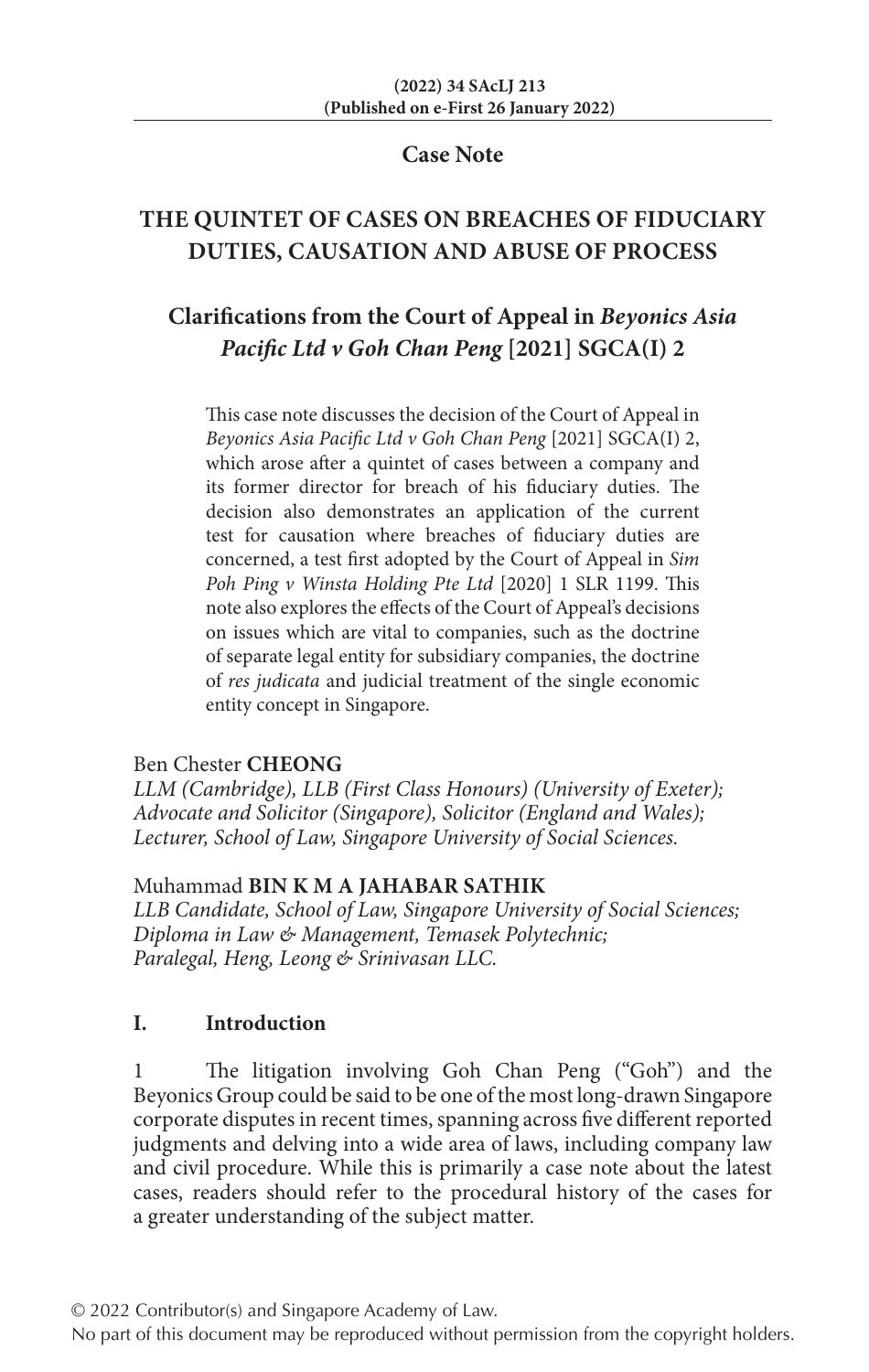#### **Case Note**

# **THE QUINTET OF CASES ON BREACHES OF FIDUCIARY DUTIES, CAUSATION AND ABUSE OF PROCESS**

# **Clarifications from the Court of Appeal in** *Beyonics Asia Pacific Ltd v Goh Chan Peng* **[2021] SGCA(I) 2**

This case note discusses the decision of the Court of Appeal in *Beyonics Asia Pacific Ltd v Goh Chan Peng* [2021] SGCA(I) 2, which arose after a quintet of cases between a company and its former director for breach of his fiduciary duties. The decision also demonstrates an application of the current test for causation where breaches of fiduciary duties are concerned, a test first adopted by the Court of Appeal in *Sim Poh Ping v Winsta Holding Pte Ltd* [2020] 1 SLR 1199. This note also explores the effects of the Court of Appeal's decisions on issues which are vital to companies, such as the doctrine of separate legal entity for subsidiary companies, the doctrine of *res judicata* and judicial treatment of the single economic entity concept in Singapore.

#### Ben Chester **CHEONG**

*LLM (Cambridge), LLB (First Class Honours) (University of Exeter); Advocate and Solicitor (Singapore), Solicitor (England and Wales); Lecturer, School of Law, Singapore University of Social Sciences.*

## Muhammad **BIN K M A JAHABAR SATHIK**

*LLB Candidate, School of Law, Singapore University of Social Sciences; Diploma in Law & Management, Temasek Polytechnic; Paralegal, Heng, Leong & Srinivasan LLC.*

## **I. Introduction**

1 The litigation involving Goh Chan Peng ("Goh") and the Beyonics Group could be said to be one of the most long-drawn Singapore corporate disputes in recent times, spanning across five different reported judgments and delving into a wide area of laws, including company law and civil procedure. While this is primarily a case note about the latest cases, readers should refer to the procedural history of the cases for a greater understanding of the subject matter.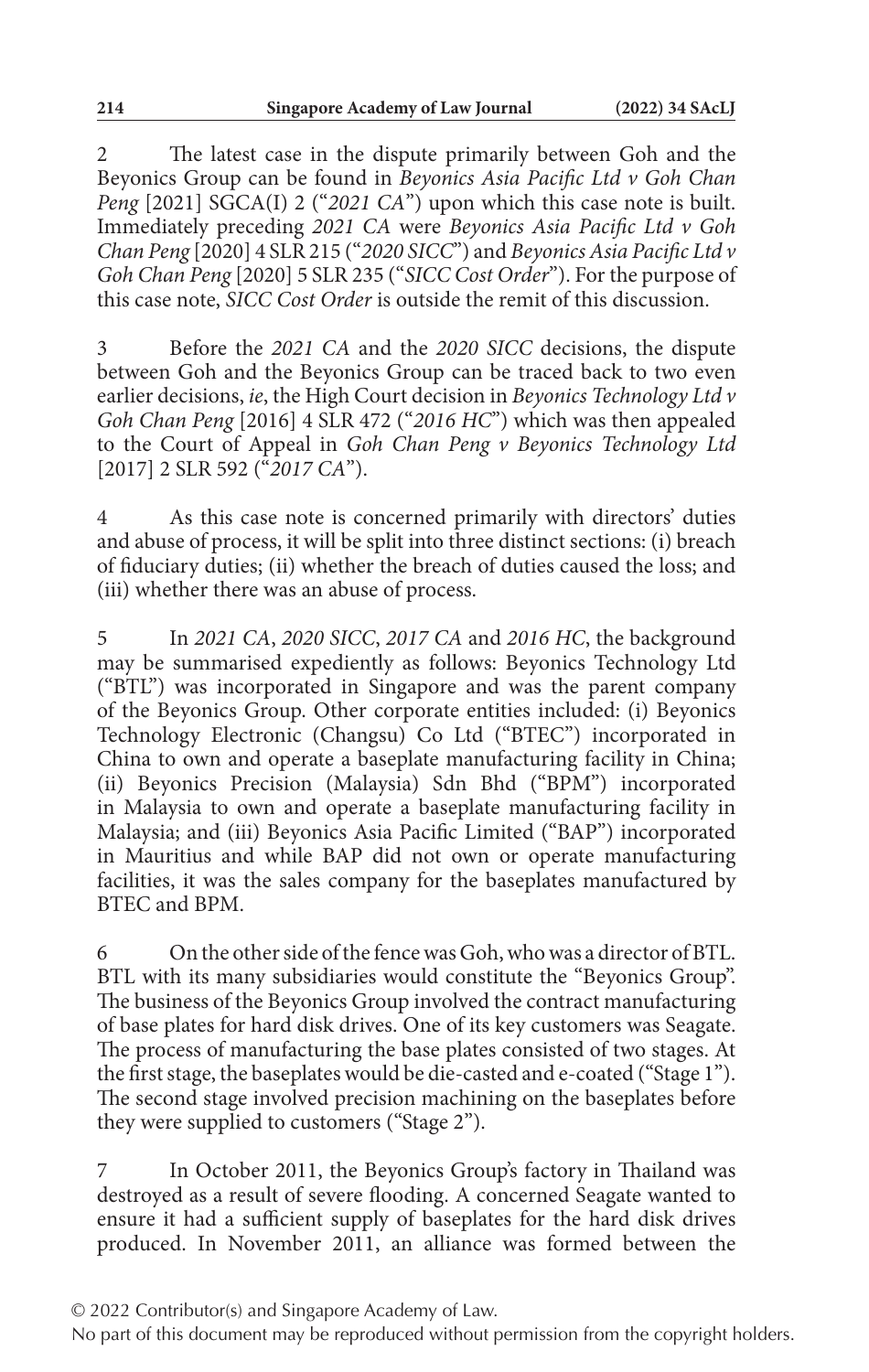2 The latest case in the dispute primarily between Goh and the Beyonics Group can be found in *Beyonics Asia Pacific Ltd v Goh Chan Peng* [2021] SGCA(I) 2 ("*2021 CA*") upon which this case note is built. Immediately preceding *2021 CA* were *Beyonics Asia Pacific Ltd v Goh Chan Peng* [2020] 4 SLR 215 ("*2020 SICC*") and *Beyonics Asia Pacific Ltd v Goh Chan Peng* [2020] 5 SLR 235 ("*SICC Cost Order*"). For the purpose of this case note, *SICC Cost Order* is outside the remit of this discussion.

3 Before the *2021 CA* and the *2020 SICC* decisions, the dispute between Goh and the Beyonics Group can be traced back to two even earlier decisions, *ie*, the High Court decision in *Beyonics Technology Ltd v Goh Chan Peng* [2016] 4 SLR 472 ("*2016 HC*") which was then appealed to the Court of Appeal in *Goh Chan Peng v Beyonics Technology Ltd* [2017] 2 SLR 592 ("*2017 CA*").

4 As this case note is concerned primarily with directors' duties and abuse of process, it will be split into three distinct sections: (i) breach of fiduciary duties; (ii) whether the breach of duties caused the loss; and (iii) whether there was an abuse of process.

5 In *2021 CA*, *2020 SICC*, *2017 CA* and *2016 HC*, the background may be summarised expediently as follows: Beyonics Technology Ltd ("BTL") was incorporated in Singapore and was the parent company of the Beyonics Group. Other corporate entities included: (i) Beyonics Technology Electronic (Changsu) Co Ltd ("BTEC") incorporated in China to own and operate a baseplate manufacturing facility in China; (ii) Beyonics Precision (Malaysia) Sdn Bhd ("BPM") incorporated in Malaysia to own and operate a baseplate manufacturing facility in Malaysia; and (iii) Beyonics Asia Pacific Limited ("BAP") incorporated in Mauritius and while BAP did not own or operate manufacturing facilities, it was the sales company for the baseplates manufactured by BTEC and BPM.

6 On the other side of the fence was Goh, who was a director of BTL. BTL with its many subsidiaries would constitute the "Beyonics Group". The business of the Beyonics Group involved the contract manufacturing of base plates for hard disk drives. One of its key customers was Seagate. The process of manufacturing the base plates consisted of two stages. At the first stage, the baseplates would be die-casted and e-coated ("Stage 1"). The second stage involved precision machining on the baseplates before they were supplied to customers ("Stage 2").

In October 2011, the Beyonics Group's factory in Thailand was destroyed as a result of severe flooding. A concerned Seagate wanted to ensure it had a sufficient supply of baseplates for the hard disk drives produced. In November 2011, an alliance was formed between the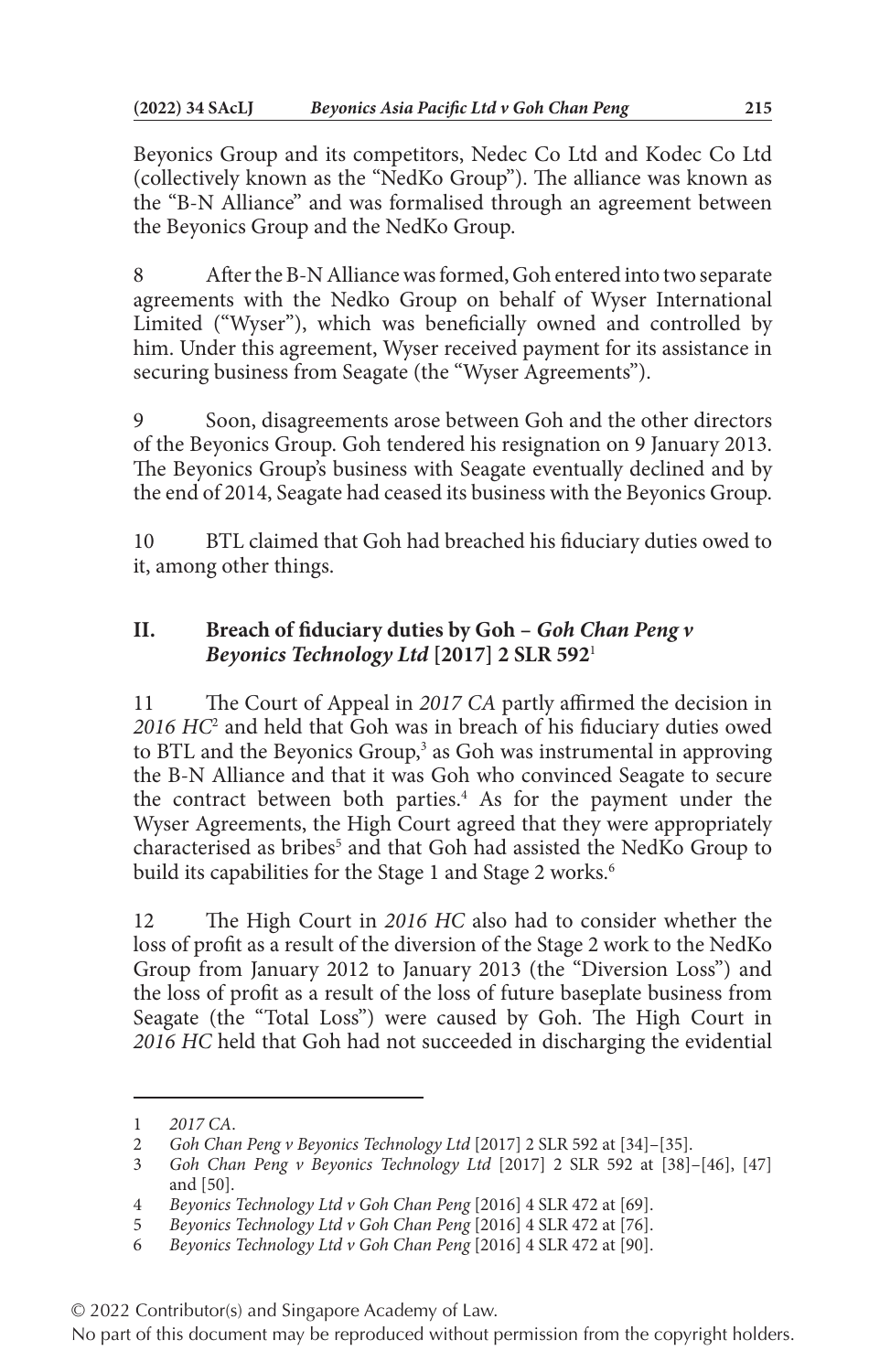Beyonics Group and its competitors, Nedec Co Ltd and Kodec Co Ltd (collectively known as the "NedKo Group"). The alliance was known as the "B-N Alliance" and was formalised through an agreement between the Beyonics Group and the NedKo Group.

8 After the B-N Alliance was formed, Goh entered into two separate agreements with the Nedko Group on behalf of Wyser International Limited ("Wyser"), which was beneficially owned and controlled by him. Under this agreement, Wyser received payment for its assistance in securing business from Seagate (the "Wyser Agreements").

9 Soon, disagreements arose between Goh and the other directors of the Beyonics Group. Goh tendered his resignation on 9 January 2013. The Beyonics Group's business with Seagate eventually declined and by the end of 2014, Seagate had ceased its business with the Beyonics Group.

10 BTL claimed that Goh had breached his fiduciary duties owed to it, among other things.

# **II. Breach of fiduciary duties by Goh –** *Goh Chan Peng v Beyonics Technology Ltd* **[2017] 2 SLR 592**<sup>1</sup>

11 The Court of Appeal in *2017 CA* partly affirmed the decision in *2016 HC*<sup>2</sup> and held that Goh was in breach of his fiduciary duties owed to BTL and the Beyonics Group,<sup>3</sup> as Goh was instrumental in approving the B-N Alliance and that it was Goh who convinced Seagate to secure the contract between both parties.<sup>4</sup> As for the payment under the Wyser Agreements, the High Court agreed that they were appropriately characterised as bribes<sup>5</sup> and that Goh had assisted the NedKo Group to build its capabilities for the Stage 1 and Stage 2 works.<sup>6</sup>

12 The High Court in *2016 HC* also had to consider whether the loss of profit as a result of the diversion of the Stage 2 work to the NedKo Group from January 2012 to January 2013 (the "Diversion Loss") and the loss of profit as a result of the loss of future baseplate business from Seagate (the "Total Loss") were caused by Goh. The High Court in *2016 HC* held that Goh had not succeeded in discharging the evidential

<sup>1</sup> *2017 CA*.

<sup>2</sup> *Goh Chan Peng v Beyonics Technology Ltd* [2017] 2 SLR 592 at [34]–[35].

<sup>3</sup> *Goh Chan Peng v Beyonics Technology Ltd* [2017] 2 SLR 592 at [38]–[46], [47] and [50].

<sup>4</sup> *Beyonics Technology Ltd v Goh Chan Peng* [2016] 4 SLR 472 at [69].

<sup>5</sup> *Beyonics Technology Ltd v Goh Chan Peng* [2016] 4 SLR 472 at [76].

<sup>6</sup> *Beyonics Technology Ltd v Goh Chan Peng* [2016] 4 SLR 472 at [90].

<sup>© 2022</sup> Contributor(s) and Singapore Academy of Law.

No part of this document may be reproduced without permission from the copyright holders.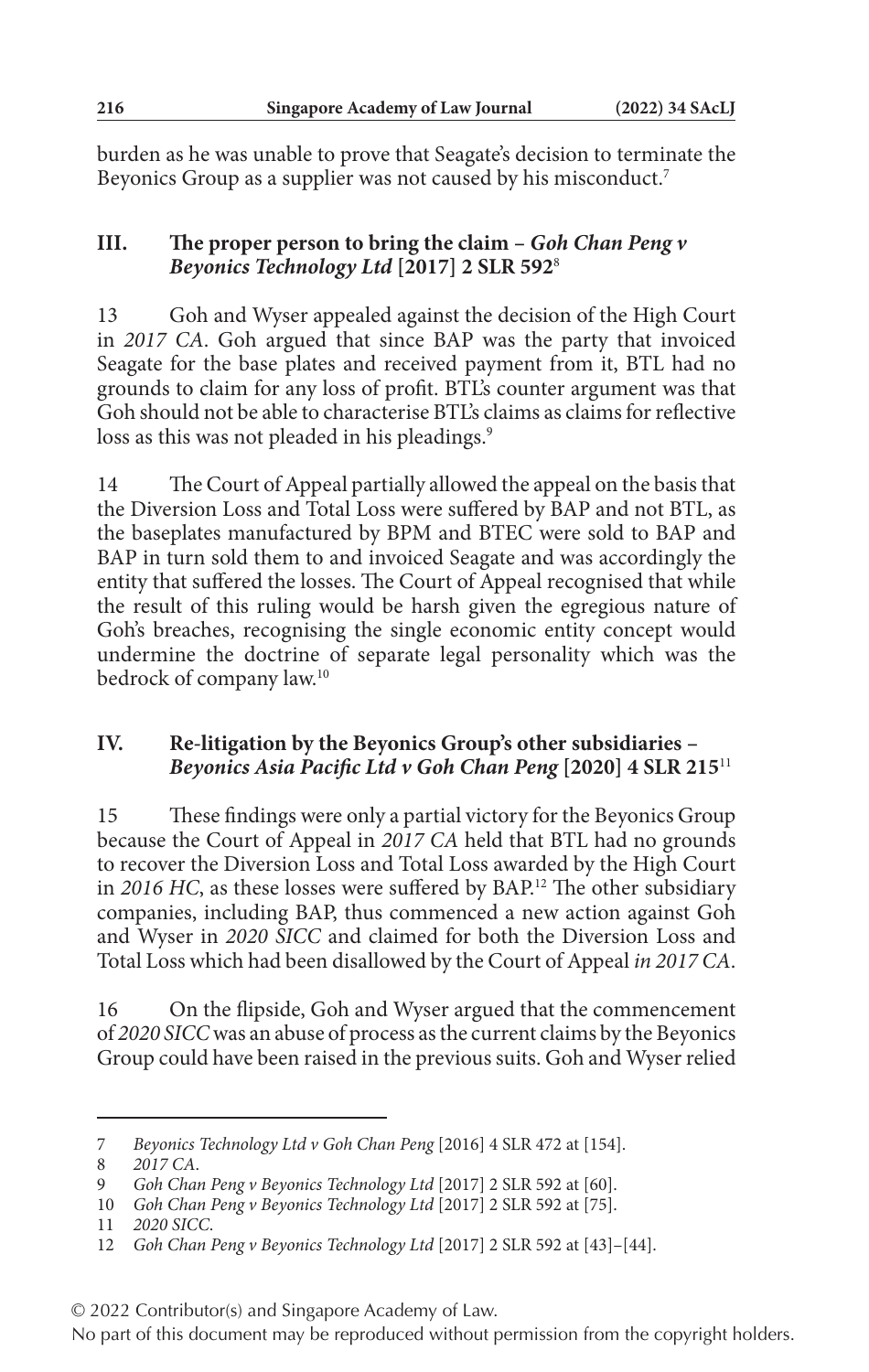burden as he was unable to prove that Seagate's decision to terminate the Beyonics Group as a supplier was not caused by his misconduct.7

# **III. The proper person to bring the claim –** *Goh Chan Peng v Beyonics Technology Ltd* **[2017] 2 SLR 592**<sup>8</sup>

13 Goh and Wyser appealed against the decision of the High Court in *2017 CA*. Goh argued that since BAP was the party that invoiced Seagate for the base plates and received payment from it, BTL had no grounds to claim for any loss of profit. BTL's counter argument was that Goh should not be able to characterise BTL's claims as claims for reflective loss as this was not pleaded in his pleadings.<sup>9</sup>

14 The Court of Appeal partially allowed the appeal on the basis that the Diversion Loss and Total Loss were suffered by BAP and not BTL, as the baseplates manufactured by BPM and BTEC were sold to BAP and BAP in turn sold them to and invoiced Seagate and was accordingly the entity that suffered the losses. The Court of Appeal recognised that while the result of this ruling would be harsh given the egregious nature of Goh's breaches, recognising the single economic entity concept would undermine the doctrine of separate legal personality which was the bedrock of company law.10

## **IV. Re-litigation by the Beyonics Group's other subsidiaries –**  *Beyonics Asia Pacific Ltd v Goh Chan Peng* **[2020] 4 SLR 215**<sup>11</sup>

15 These findings were only a partial victory for the Beyonics Group because the Court of Appeal in *2017 CA* held that BTL had no grounds to recover the Diversion Loss and Total Loss awarded by the High Court in *2016 HC*, as these losses were suffered by BAP.12 The other subsidiary companies, including BAP, thus commenced a new action against Goh and Wyser in *2020 SICC* and claimed for both the Diversion Loss and Total Loss which had been disallowed by the Court of Appeal *in 2017 CA*.

16 On the flipside, Goh and Wyser argued that the commencement of *2020 SICC* was an abuse of process as the current claims by the Beyonics Group could have been raised in the previous suits. Goh and Wyser relied

8 *2017 CA*.

<sup>7</sup> *Beyonics Technology Ltd v Goh Chan Peng* [2016] 4 SLR 472 at [154].

<sup>9</sup> *Goh Chan Peng v Beyonics Technology Ltd* [2017] 2 SLR 592 at [60].

<sup>10</sup> *Goh Chan Peng v Beyonics Technology Ltd* [2017] 2 SLR 592 at [75].

<sup>11</sup> *2020 SICC*.

<sup>12</sup> *Goh Chan Peng v Beyonics Technology Ltd* [2017] 2 SLR 592 at [43]–[44].

<sup>© 2022</sup> Contributor(s) and Singapore Academy of Law.

No part of this document may be reproduced without permission from the copyright holders.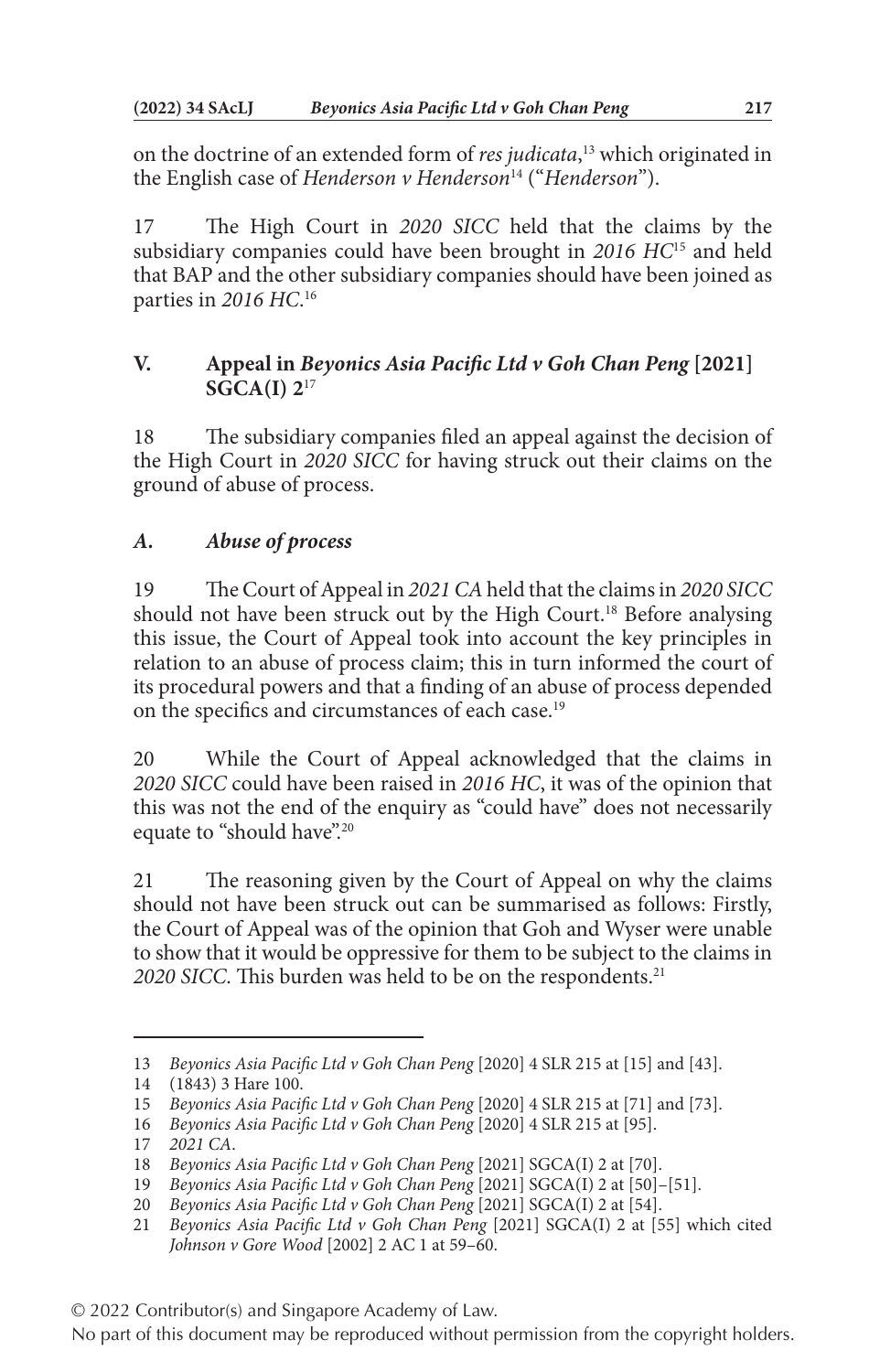on the doctrine of an extended form of *res judicata*, 13 which originated in the English case of *Henderson v Henderson*14 ("*Henderson*").

17 The High Court in *2020 SICC* held that the claims by the subsidiary companies could have been brought in *2016 HC*15 and held that BAP and the other subsidiary companies should have been joined as parties in *2016 HC*. 16

# **V. Appeal in** *Beyonics Asia Pacific Ltd v Goh Chan Peng* **[2021] SGCA(I) 2**<sup>17</sup>

18 The subsidiary companies filed an appeal against the decision of the High Court in *2020 SICC* for having struck out their claims on the ground of abuse of process.

# *A. Abuse of process*

19 The Court of Appeal in *2021 CA* held that the claims in *2020 SICC* should not have been struck out by the High Court.<sup>18</sup> Before analysing this issue, the Court of Appeal took into account the key principles in relation to an abuse of process claim; this in turn informed the court of its procedural powers and that a finding of an abuse of process depended on the specifics and circumstances of each case.<sup>19</sup>

20 While the Court of Appeal acknowledged that the claims in *2020 SICC* could have been raised in *2016 HC*, it was of the opinion that this was not the end of the enquiry as "could have" does not necessarily equate to "should have".<sup>20</sup>

21 The reasoning given by the Court of Appeal on why the claims should not have been struck out can be summarised as follows: Firstly, the Court of Appeal was of the opinion that Goh and Wyser were unable to show that it would be oppressive for them to be subject to the claims in 2020 SICC. This burden was held to be on the respondents.<sup>21</sup>

<sup>13</sup> *Beyonics Asia Pacific Ltd v Goh Chan Peng* [2020] 4 SLR 215 at [15] and [43].

<sup>14</sup> (1843) 3 Hare 100.

<sup>15</sup> *Beyonics Asia Pacific Ltd v Goh Chan Peng* [2020] 4 SLR 215 at [71] and [73].

<sup>16</sup> *Beyonics Asia Pacific Ltd v Goh Chan Peng* [2020] 4 SLR 215 at [95].

<sup>17</sup> *2021 CA*.

<sup>18</sup> *Beyonics Asia Pacific Ltd v Goh Chan Peng* [2021] SGCA(I) 2 at [70].

<sup>19</sup> *Beyonics Asia Pacific Ltd v Goh Chan Peng* [2021] SGCA(I) 2 at [50]–[51].

<sup>20</sup> *Beyonics Asia Pacific Ltd v Goh Chan Peng* [2021] SGCA(I) 2 at [54].

<sup>21</sup> *Beyonics Asia Pacific Ltd v Goh Chan Peng* [2021] SGCA(I) 2 at [55] which cited *Johnson v Gore Wood* [2002] 2 AC 1 at 59–60.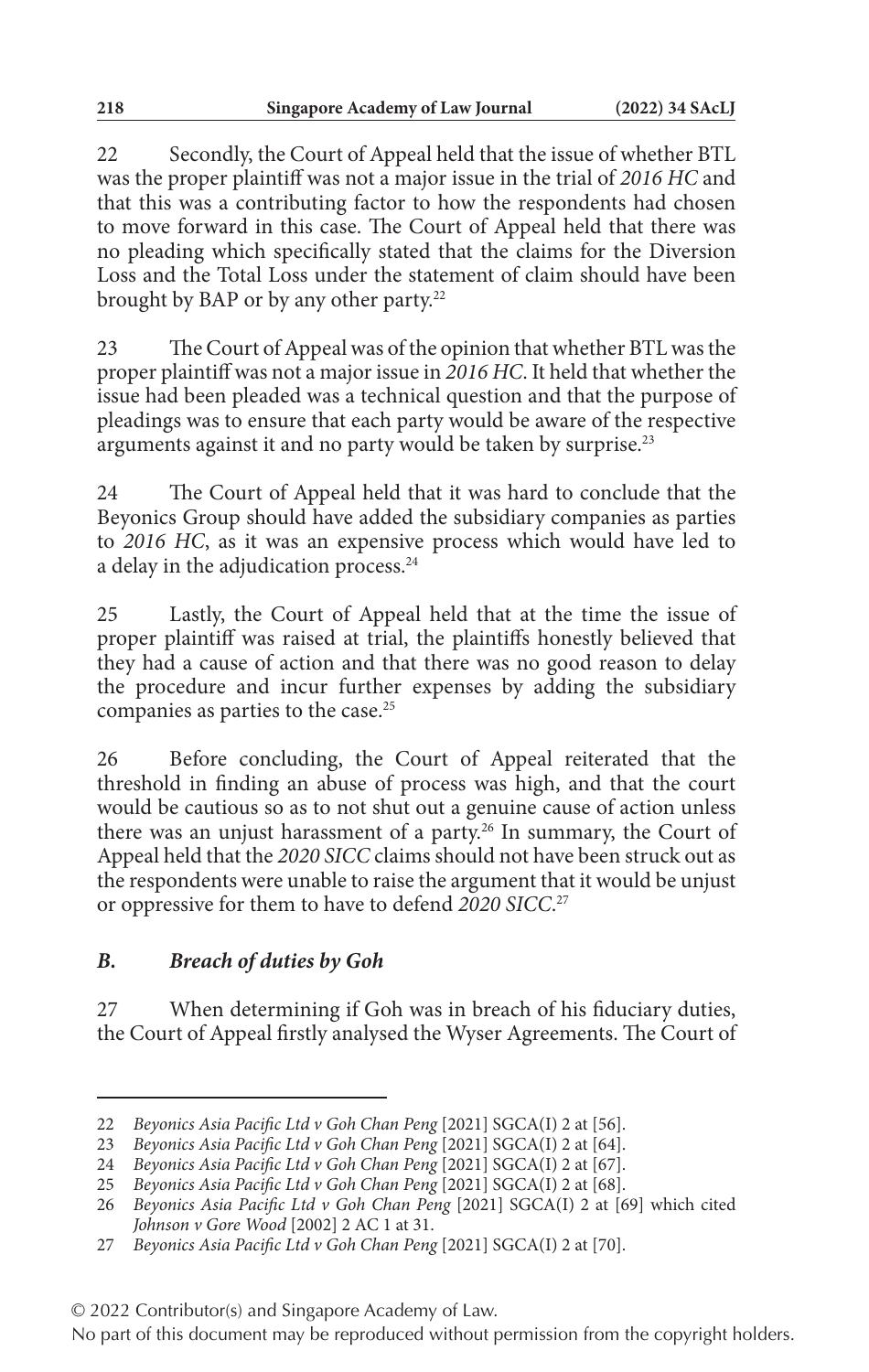22 Secondly, the Court of Appeal held that the issue of whether BTL was the proper plaintiff was not a major issue in the trial of *2016 HC* and that this was a contributing factor to how the respondents had chosen to move forward in this case. The Court of Appeal held that there was no pleading which specifically stated that the claims for the Diversion Loss and the Total Loss under the statement of claim should have been brought by BAP or by any other party.<sup>22</sup>

23 The Court of Appeal was of the opinion that whether BTL was the proper plaintiff was not a major issue in *2016 HC*. It held that whether the issue had been pleaded was a technical question and that the purpose of pleadings was to ensure that each party would be aware of the respective arguments against it and no party would be taken by surprise.<sup>23</sup>

24 The Court of Appeal held that it was hard to conclude that the Beyonics Group should have added the subsidiary companies as parties to *2016 HC*, as it was an expensive process which would have led to a delay in the adjudication process.<sup>24</sup>

25 Lastly, the Court of Appeal held that at the time the issue of proper plaintiff was raised at trial, the plaintiffs honestly believed that they had a cause of action and that there was no good reason to delay the procedure and incur further expenses by adding the subsidiary companies as parties to the case.25

26 Before concluding, the Court of Appeal reiterated that the threshold in finding an abuse of process was high, and that the court would be cautious so as to not shut out a genuine cause of action unless there was an unjust harassment of a party.<sup>26</sup> In summary, the Court of Appeal held that the *2020 SICC* claims should not have been struck out as the respondents were unable to raise the argument that it would be unjust or oppressive for them to have to defend *2020 SICC*. 27

## *B. Breach of duties by Goh*

27 When determining if Goh was in breach of his fiduciary duties, the Court of Appeal firstly analysed the Wyser Agreements. The Court of

<sup>22</sup> *Beyonics Asia Pacific Ltd v Goh Chan Peng* [2021] SGCA(I) 2 at [56].

<sup>23</sup> *Beyonics Asia Pacific Ltd v Goh Chan Peng* [2021] SGCA(I) 2 at [64].

<sup>24</sup> *Beyonics Asia Pacific Ltd v Goh Chan Peng* [2021] SGCA(I) 2 at [67].

<sup>25</sup> *Beyonics Asia Pacific Ltd v Goh Chan Peng* [2021] SGCA(I) 2 at [68].

<sup>26</sup> *Beyonics Asia Pacific Ltd v Goh Chan Peng* [2021] SGCA(I) 2 at [69] which cited *Johnson v Gore Wood* [2002] 2 AC 1 at 31.

<sup>27</sup> *Beyonics Asia Pacific Ltd v Goh Chan Peng* [2021] SGCA(I) 2 at [70].

<sup>© 2022</sup> Contributor(s) and Singapore Academy of Law.

No part of this document may be reproduced without permission from the copyright holders.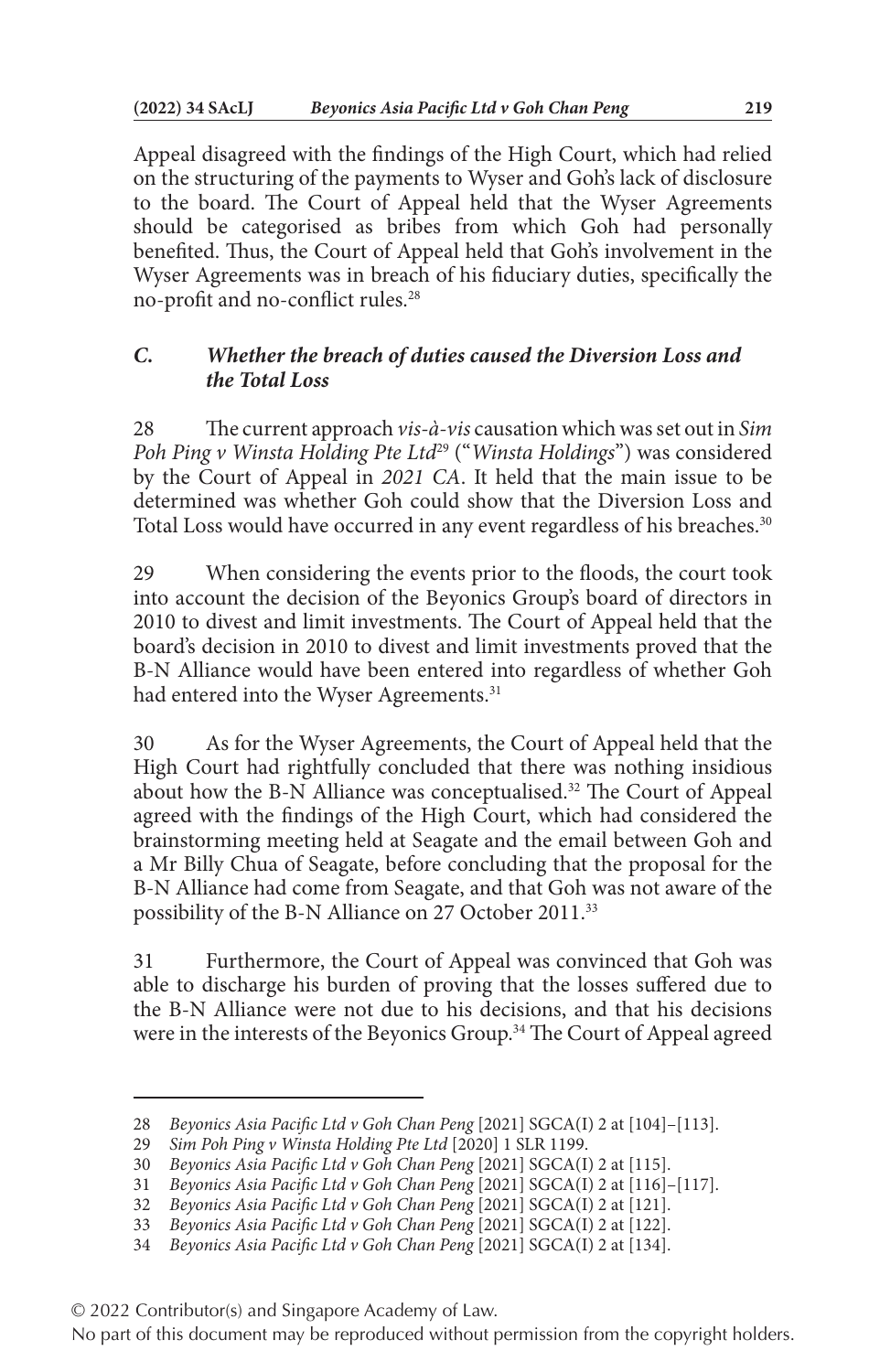Appeal disagreed with the findings of the High Court, which had relied on the structuring of the payments to Wyser and Goh's lack of disclosure to the board. The Court of Appeal held that the Wyser Agreements should be categorised as bribes from which Goh had personally benefited. Thus, the Court of Appeal held that Goh's involvement in the Wyser Agreements was in breach of his fiduciary duties, specifically the no-profit and no-conflict rules.28

# *C. Whether the breach of duties caused the Diversion Loss and the Total Loss*

28 The current approach *vis-à-vis* causation which was set out in *Sim Poh Ping v Winsta Holding Pte Ltd*29 ("*Winsta Holdings*") was considered by the Court of Appeal in *2021 CA*. It held that the main issue to be determined was whether Goh could show that the Diversion Loss and Total Loss would have occurred in any event regardless of his breaches.<sup>30</sup>

29 When considering the events prior to the floods, the court took into account the decision of the Beyonics Group's board of directors in 2010 to divest and limit investments. The Court of Appeal held that the board's decision in 2010 to divest and limit investments proved that the B-N Alliance would have been entered into regardless of whether Goh had entered into the Wyser Agreements.<sup>31</sup>

30 As for the Wyser Agreements, the Court of Appeal held that the High Court had rightfully concluded that there was nothing insidious about how the B-N Alliance was conceptualised.<sup>32</sup> The Court of Appeal agreed with the findings of the High Court, which had considered the brainstorming meeting held at Seagate and the email between Goh and a Mr Billy Chua of Seagate, before concluding that the proposal for the B-N Alliance had come from Seagate, and that Goh was not aware of the possibility of the B-N Alliance on 27 October 2011.33

31 Furthermore, the Court of Appeal was convinced that Goh was able to discharge his burden of proving that the losses suffered due to the B-N Alliance were not due to his decisions, and that his decisions were in the interests of the Beyonics Group.<sup>34</sup> The Court of Appeal agreed

<sup>28</sup> *Beyonics Asia Pacific Ltd v Goh Chan Peng* [2021] SGCA(I) 2 at [104]–[113].

<sup>29</sup> *Sim Poh Ping v Winsta Holding Pte Ltd* [2020] 1 SLR 1199.

<sup>30</sup> *Beyonics Asia Pacific Ltd v Goh Chan Peng* [2021] SGCA(I) 2 at [115].

<sup>31</sup> *Beyonics Asia Pacific Ltd v Goh Chan Peng* [2021] SGCA(I) 2 at [116]–[117].

<sup>32</sup> *Beyonics Asia Pacific Ltd v Goh Chan Peng* [2021] SGCA(I) 2 at [121].

<sup>33</sup> *Beyonics Asia Pacific Ltd v Goh Chan Peng* [2021] SGCA(I) 2 at [122].

<sup>34</sup> *Beyonics Asia Pacific Ltd v Goh Chan Peng* [2021] SGCA(I) 2 at [134].

<sup>© 2022</sup> Contributor(s) and Singapore Academy of Law.

No part of this document may be reproduced without permission from the copyright holders.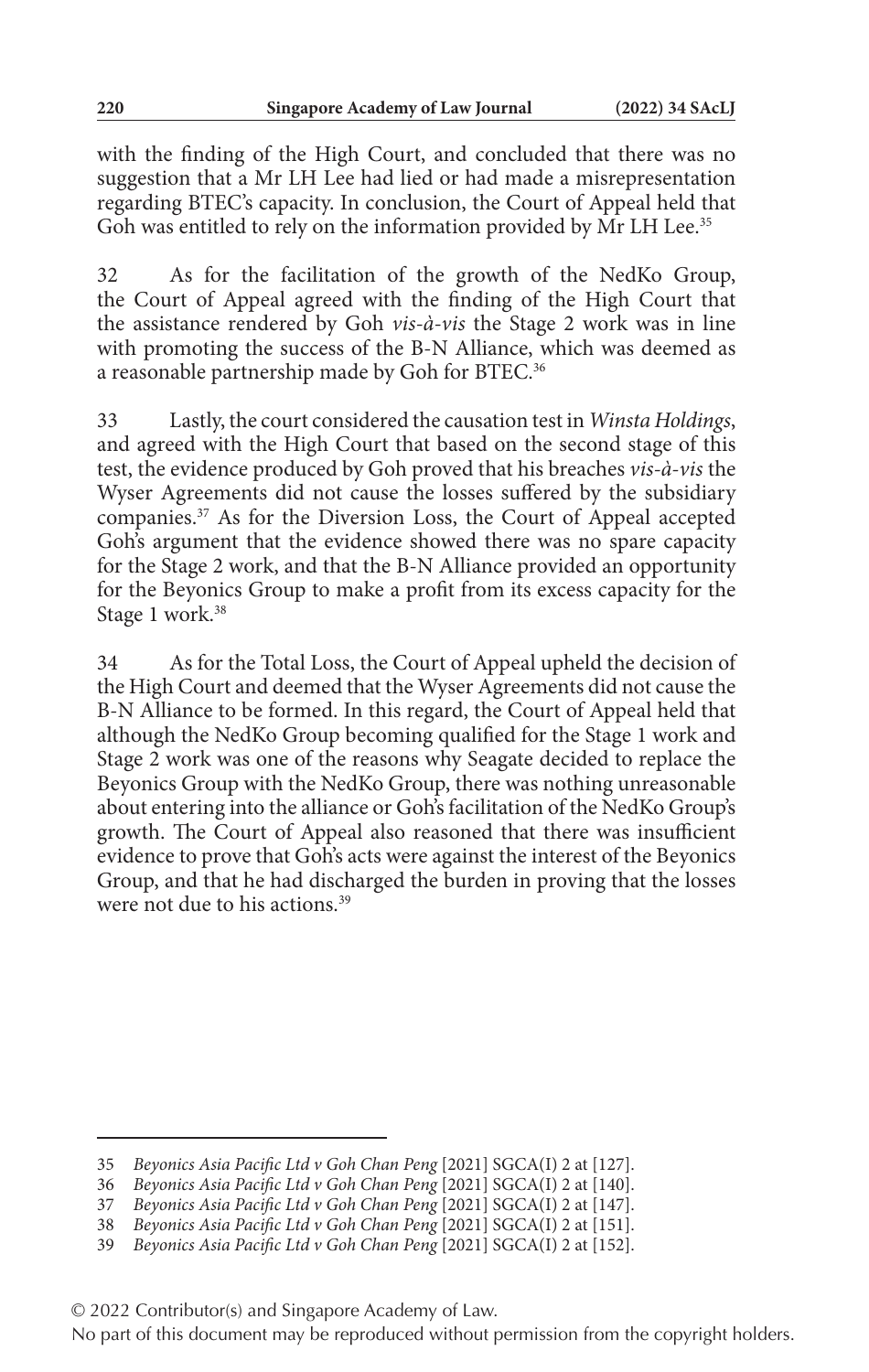with the finding of the High Court, and concluded that there was no suggestion that a Mr LH Lee had lied or had made a misrepresentation regarding BTEC's capacity. In conclusion, the Court of Appeal held that Goh was entitled to rely on the information provided by Mr LH Lee.<sup>35</sup>

32 As for the facilitation of the growth of the NedKo Group, the Court of Appeal agreed with the finding of the High Court that the assistance rendered by Goh *vis-à-vis* the Stage 2 work was in line with promoting the success of the B-N Alliance, which was deemed as a reasonable partnership made by Goh for BTEC.<sup>36</sup>

33 Lastly, the court considered the causation test in *Winsta Holdings*, and agreed with the High Court that based on the second stage of this test, the evidence produced by Goh proved that his breaches *vis-à-vis* the Wyser Agreements did not cause the losses suffered by the subsidiary companies.37 As for the Diversion Loss, the Court of Appeal accepted Goh's argument that the evidence showed there was no spare capacity for the Stage 2 work, and that the B-N Alliance provided an opportunity for the Beyonics Group to make a profit from its excess capacity for the Stage 1 work.<sup>38</sup>

34 As for the Total Loss, the Court of Appeal upheld the decision of the High Court and deemed that the Wyser Agreements did not cause the B-N Alliance to be formed. In this regard, the Court of Appeal held that although the NedKo Group becoming qualified for the Stage 1 work and Stage 2 work was one of the reasons why Seagate decided to replace the Beyonics Group with the NedKo Group, there was nothing unreasonable about entering into the alliance or Goh's facilitation of the NedKo Group's growth. The Court of Appeal also reasoned that there was insufficient evidence to prove that Goh's acts were against the interest of the Beyonics Group, and that he had discharged the burden in proving that the losses were not due to his actions.<sup>39</sup>

<sup>35</sup> *Beyonics Asia Pacific Ltd v Goh Chan Peng* [2021] SGCA(I) 2 at [127].

<sup>36</sup> *Beyonics Asia Pacific Ltd v Goh Chan Peng* [2021] SGCA(I) 2 at [140].

<sup>37</sup> *Beyonics Asia Pacific Ltd v Goh Chan Peng* [2021] SGCA(I) 2 at [147].

<sup>38</sup> *Beyonics Asia Pacific Ltd v Goh Chan Peng* [2021] SGCA(I) 2 at [151].

<sup>39</sup> *Beyonics Asia Pacific Ltd v Goh Chan Peng* [2021] SGCA(I) 2 at [152].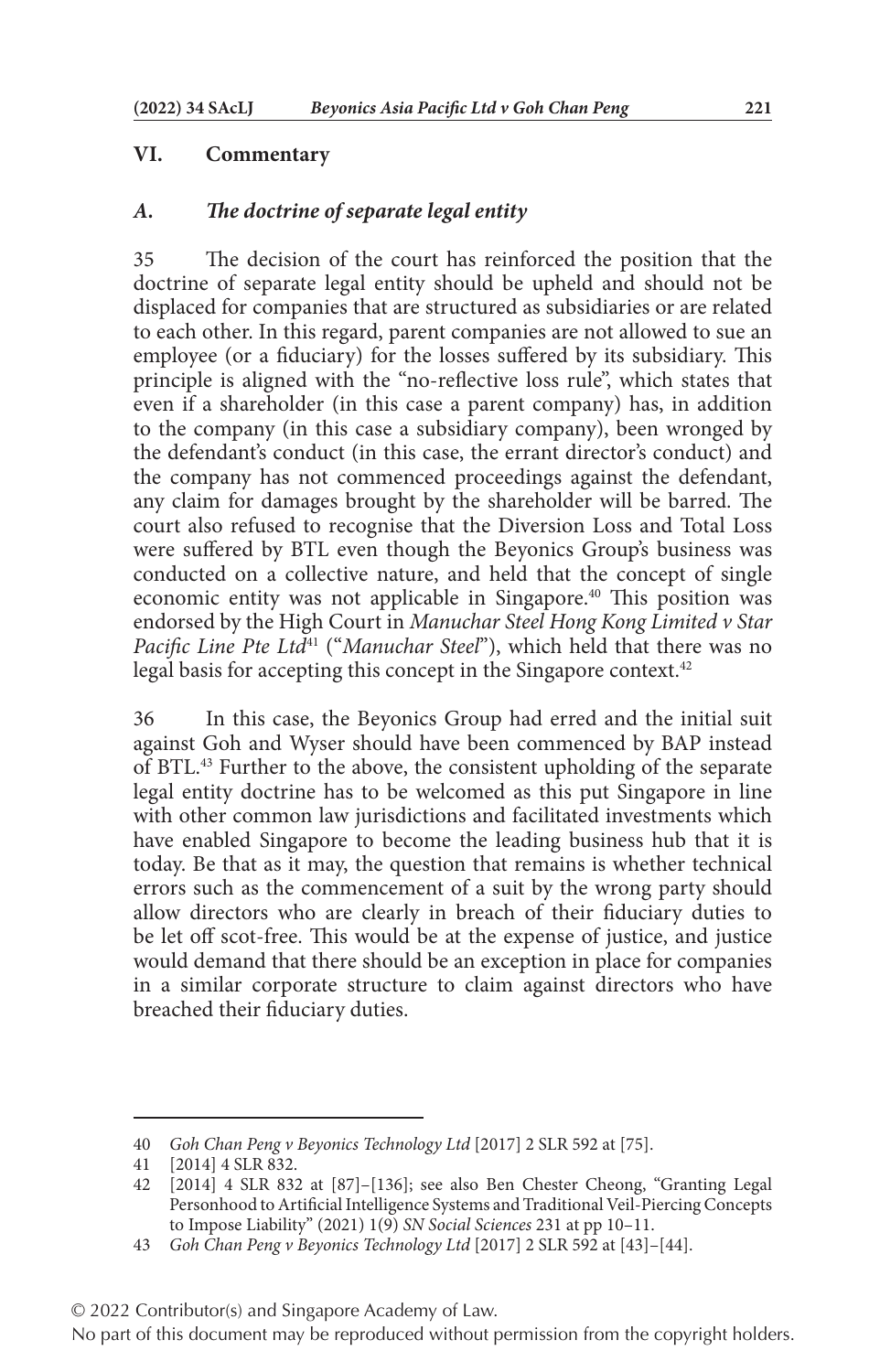#### **VI. Commentary**

#### *A. The doctrine of separate legal entity*

35 The decision of the court has reinforced the position that the doctrine of separate legal entity should be upheld and should not be displaced for companies that are structured as subsidiaries or are related to each other. In this regard, parent companies are not allowed to sue an employee (or a fiduciary) for the losses suffered by its subsidiary. This principle is aligned with the "no-reflective loss rule", which states that even if a shareholder (in this case a parent company) has, in addition to the company (in this case a subsidiary company), been wronged by the defendant's conduct (in this case, the errant director's conduct) and the company has not commenced proceedings against the defendant, any claim for damages brought by the shareholder will be barred. The court also refused to recognise that the Diversion Loss and Total Loss were suffered by BTL even though the Beyonics Group's business was conducted on a collective nature, and held that the concept of single economic entity was not applicable in Singapore.<sup>40</sup> This position was endorsed by the High Court in *Manuchar Steel Hong Kong Limited v Star Pacific Line Pte Ltd*<sup>41</sup> ("*Manuchar Steel*"), which held that there was no legal basis for accepting this concept in the Singapore context.<sup>42</sup>

36 In this case, the Beyonics Group had erred and the initial suit against Goh and Wyser should have been commenced by BAP instead of BTL.43 Further to the above, the consistent upholding of the separate legal entity doctrine has to be welcomed as this put Singapore in line with other common law jurisdictions and facilitated investments which have enabled Singapore to become the leading business hub that it is today. Be that as it may, the question that remains is whether technical errors such as the commencement of a suit by the wrong party should allow directors who are clearly in breach of their fiduciary duties to be let off scot-free. This would be at the expense of justice, and justice would demand that there should be an exception in place for companies in a similar corporate structure to claim against directors who have breached their fiduciary duties.

<sup>40</sup> *Goh Chan Peng v Beyonics Technology Ltd* [2017] 2 SLR 592 at [75].

<sup>41</sup> [2014] 4 SLR 832.

<sup>42</sup> [2014] 4 SLR 832 at [87]–[136]; see also Ben Chester Cheong, "Granting Legal Personhood to Artificial Intelligence Systems and Traditional Veil-Piercing Concepts to Impose Liability" (2021) 1(9) *SN Social Sciences* 231 at pp 10–11.

<sup>43</sup> *Goh Chan Peng v Beyonics Technology Ltd* [2017] 2 SLR 592 at [43]–[44].

<sup>© 2022</sup> Contributor(s) and Singapore Academy of Law.

No part of this document may be reproduced without permission from the copyright holders.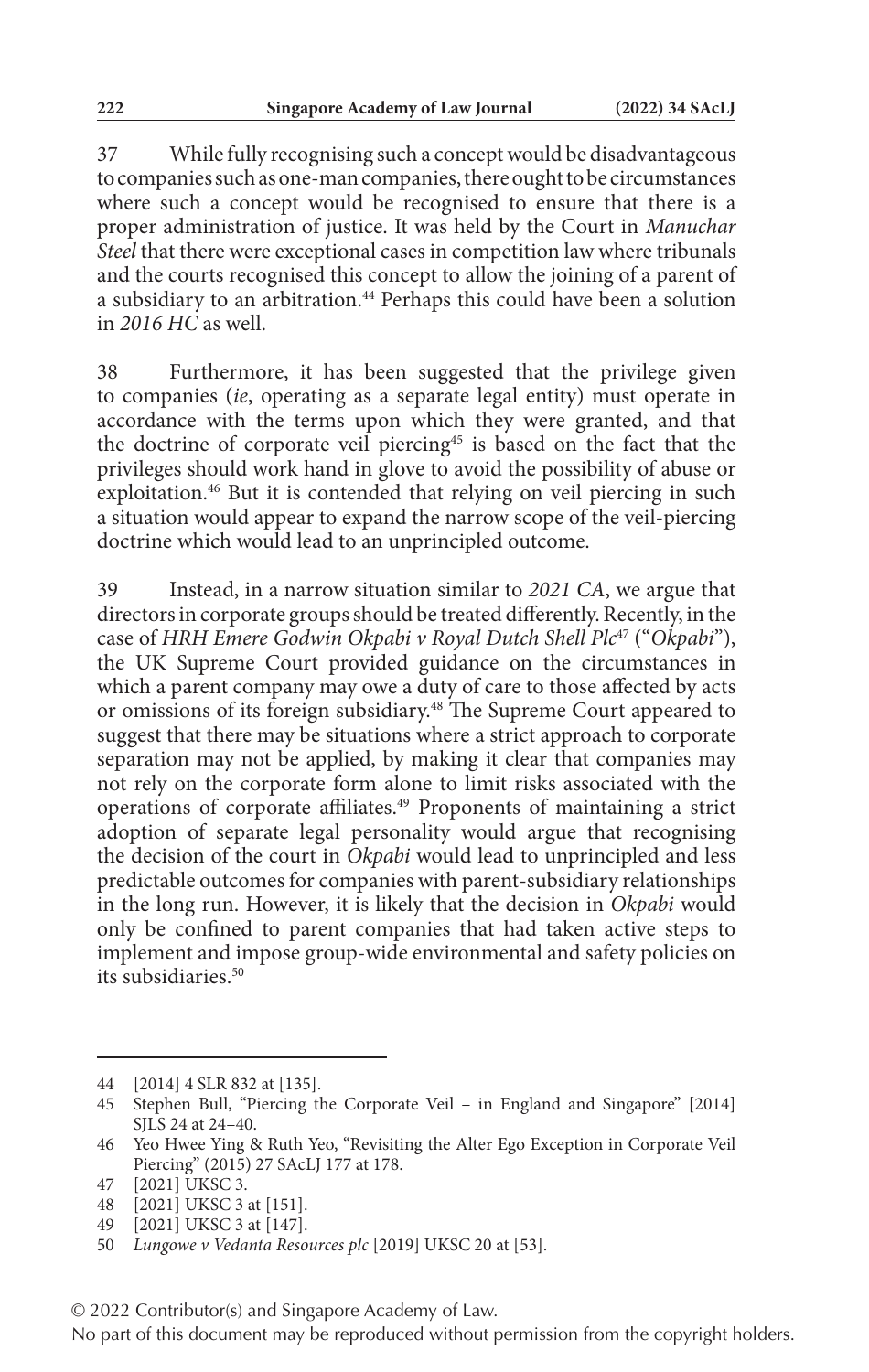37 While fully recognising such a concept would be disadvantageous to companies such as one-man companies, there ought to be circumstances where such a concept would be recognised to ensure that there is a proper administration of justice. It was held by the Court in *Manuchar Steel* that there were exceptional cases in competition law where tribunals and the courts recognised this concept to allow the joining of a parent of a subsidiary to an arbitration.<sup>44</sup> Perhaps this could have been a solution in *2016 HC* as well.

38 Furthermore, it has been suggested that the privilege given to companies (*ie*, operating as a separate legal entity) must operate in accordance with the terms upon which they were granted, and that the doctrine of corporate veil piercing<sup>45</sup> is based on the fact that the privileges should work hand in glove to avoid the possibility of abuse or exploitation.<sup>46</sup> But it is contended that relying on veil piercing in such a situation would appear to expand the narrow scope of the veil-piercing doctrine which would lead to an unprincipled outcome.

39 Instead, in a narrow situation similar to *2021 CA*, we argue that directors in corporate groups should be treated differently. Recently, in the case of *HRH Emere Godwin Okpabi v Royal Dutch Shell Plc*47 ("*Okpabi*"), the UK Supreme Court provided guidance on the circumstances in which a parent company may owe a duty of care to those affected by acts or omissions of its foreign subsidiary.48 The Supreme Court appeared to suggest that there may be situations where a strict approach to corporate separation may not be applied, by making it clear that companies may not rely on the corporate form alone to limit risks associated with the operations of corporate affiliates.49 Proponents of maintaining a strict adoption of separate legal personality would argue that recognising the decision of the court in *Okpabi* would lead to unprincipled and less predictable outcomes for companies with parent-subsidiary relationships in the long run. However, it is likely that the decision in *Okpabi* would only be confined to parent companies that had taken active steps to implement and impose group-wide environmental and safety policies on its subsidiaries.<sup>50</sup>

<sup>44</sup> [2014] 4 SLR 832 at [135].

<sup>45</sup> Stephen Bull, "Piercing the Corporate Veil – in England and Singapore" [2014] SJLS 24 at 24–40.

<sup>46</sup> Yeo Hwee Ying & Ruth Yeo, "Revisiting the Alter Ego Exception in Corporate Veil Piercing" (2015) 27 SAcLJ 177 at 178.

<sup>47</sup> [2021] UKSC 3.

<sup>48</sup> [2021] UKSC 3 at [151].

<sup>49</sup> [2021] UKSC 3 at [147].

<sup>50</sup> *Lungowe v Vedanta Resources plc* [2019] UKSC 20 at [53].

<sup>© 2022</sup> Contributor(s) and Singapore Academy of Law.

No part of this document may be reproduced without permission from the copyright holders.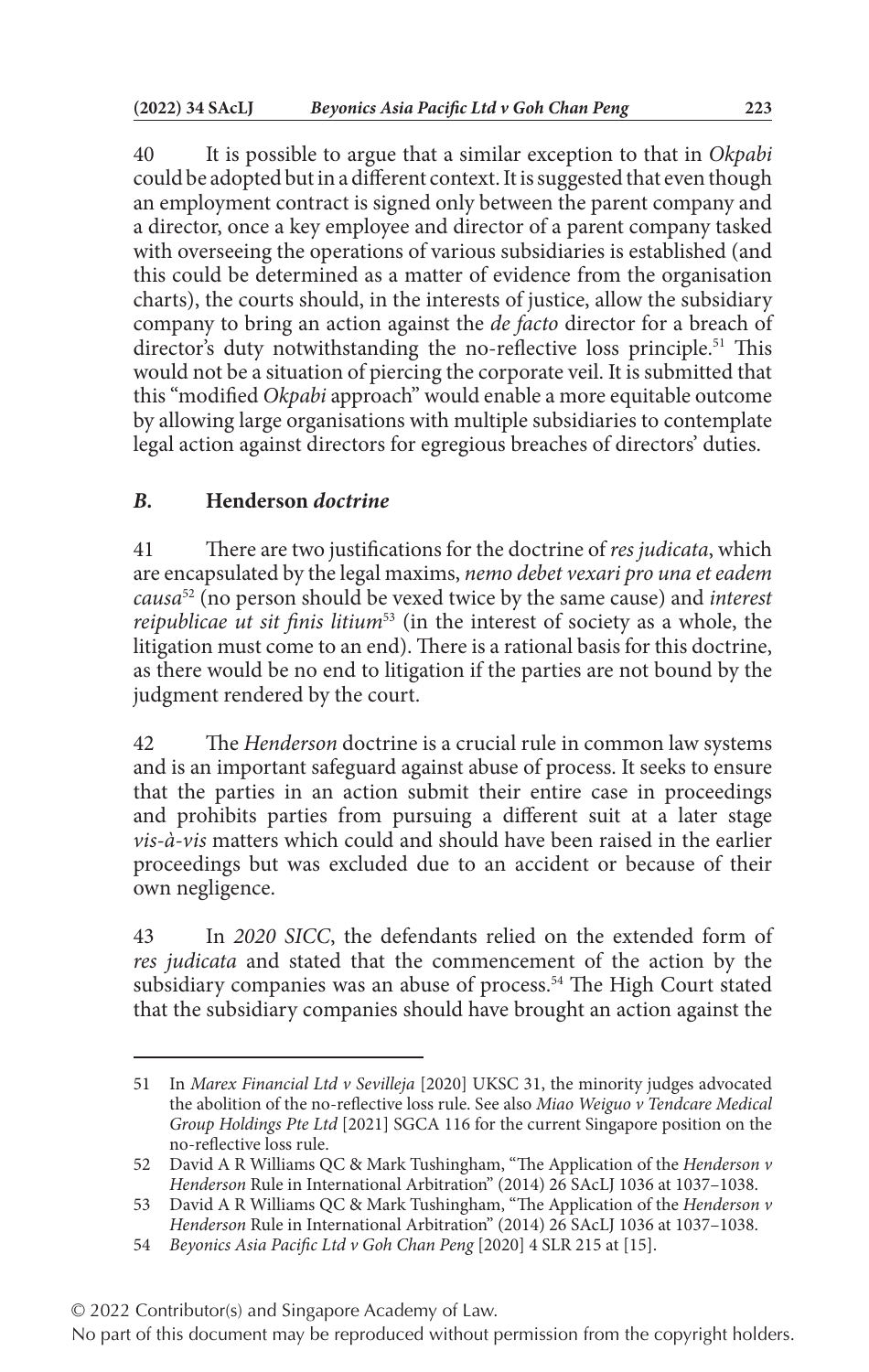40 It is possible to argue that a similar exception to that in *Okpabi* could be adopted but in a different context. It is suggested that even though an employment contract is signed only between the parent company and a director, once a key employee and director of a parent company tasked with overseeing the operations of various subsidiaries is established (and this could be determined as a matter of evidence from the organisation charts), the courts should, in the interests of justice, allow the subsidiary company to bring an action against the *de facto* director for a breach of director's duty notwithstanding the no-reflective loss principle.<sup>51</sup> This would not be a situation of piercing the corporate veil. It is submitted that this "modified *Okpabi* approach" would enable a more equitable outcome by allowing large organisations with multiple subsidiaries to contemplate legal action against directors for egregious breaches of directors' duties.

## *B.* **Henderson** *doctrine*

41 There are two justifications for the doctrine of *res judicata*, which are encapsulated by the legal maxims, *nemo debet vexari pro una et eadem causa*52 (no person should be vexed twice by the same cause) and *interest reipublicae ut sit finis litium*<sup>53</sup> (in the interest of society as a whole, the litigation must come to an end). There is a rational basis for this doctrine, as there would be no end to litigation if the parties are not bound by the judgment rendered by the court.

42 The *Henderson* doctrine is a crucial rule in common law systems and is an important safeguard against abuse of process. It seeks to ensure that the parties in an action submit their entire case in proceedings and prohibits parties from pursuing a different suit at a later stage *vis-à-vis* matters which could and should have been raised in the earlier proceedings but was excluded due to an accident or because of their own negligence.

43 In *2020 SICC*, the defendants relied on the extended form of *res judicata* and stated that the commencement of the action by the subsidiary companies was an abuse of process.<sup>54</sup> The High Court stated that the subsidiary companies should have brought an action against the

© 2022 Contributor(s) and Singapore Academy of Law.

<sup>51</sup> In *Marex Financial Ltd v Sevilleja* [2020] UKSC 31, the minority judges advocated the abolition of the no-reflective loss rule. See also *Miao Weiguo v Tendcare Medical Group Holdings Pte Ltd* [2021] SGCA 116 for the current Singapore position on the no-reflective loss rule.

<sup>52</sup> David A R Williams QC & Mark Tushingham, "The Application of the *Henderson v Henderson* Rule in International Arbitration" (2014) 26 SAcLJ 1036 at 1037–1038.

<sup>53</sup> David A R Williams QC & Mark Tushingham, "The Application of the *Henderson v Henderson* Rule in International Arbitration" (2014) 26 SAcLJ 1036 at 1037–1038.

<sup>54</sup> *Beyonics Asia Pacific Ltd v Goh Chan Peng* [2020] 4 SLR 215 at [15].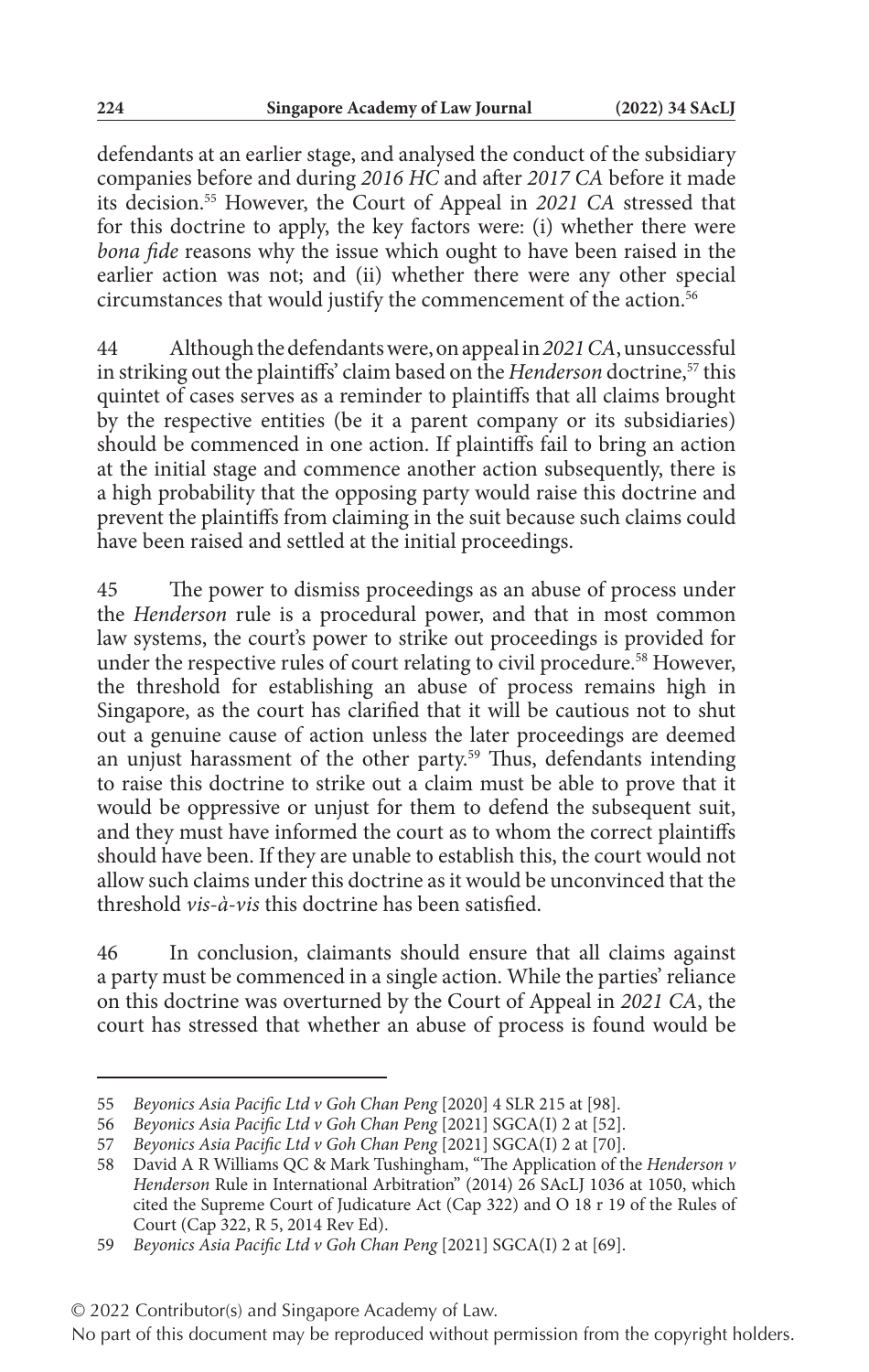defendants at an earlier stage, and analysed the conduct of the subsidiary companies before and during *2016 HC* and after *2017 CA* before it made its decision.55 However, the Court of Appeal in *2021 CA* stressed that for this doctrine to apply, the key factors were: (i) whether there were *bona fide* reasons why the issue which ought to have been raised in the earlier action was not; and (ii) whether there were any other special circumstances that would justify the commencement of the action.<sup>56</sup>

44 Although the defendants were, on appeal in *2021 CA*, unsuccessful in striking out the plaintiffs' claim based on the *Henderson* doctrine,<sup>57</sup> this quintet of cases serves as a reminder to plaintiffs that all claims brought by the respective entities (be it a parent company or its subsidiaries) should be commenced in one action. If plaintiffs fail to bring an action at the initial stage and commence another action subsequently, there is a high probability that the opposing party would raise this doctrine and prevent the plaintiffs from claiming in the suit because such claims could have been raised and settled at the initial proceedings.

45 The power to dismiss proceedings as an abuse of process under the *Henderson* rule is a procedural power, and that in most common law systems, the court's power to strike out proceedings is provided for under the respective rules of court relating to civil procedure.<sup>58</sup> However, the threshold for establishing an abuse of process remains high in Singapore, as the court has clarified that it will be cautious not to shut out a genuine cause of action unless the later proceedings are deemed an unjust harassment of the other party.<sup>59</sup> Thus, defendants intending to raise this doctrine to strike out a claim must be able to prove that it would be oppressive or unjust for them to defend the subsequent suit, and they must have informed the court as to whom the correct plaintiffs should have been. If they are unable to establish this, the court would not allow such claims under this doctrine as it would be unconvinced that the threshold *vis-à-vis* this doctrine has been satisfied.

46 In conclusion, claimants should ensure that all claims against a party must be commenced in a single action. While the parties' reliance on this doctrine was overturned by the Court of Appeal in *2021 CA*, the court has stressed that whether an abuse of process is found would be

<sup>55</sup> *Beyonics Asia Pacific Ltd v Goh Chan Peng* [2020] 4 SLR 215 at [98].

<sup>56</sup> *Beyonics Asia Pacific Ltd v Goh Chan Peng* [2021] SGCA(I) 2 at [52].

<sup>57</sup> *Beyonics Asia Pacific Ltd v Goh Chan Peng* [2021] SGCA(I) 2 at [70].

<sup>58</sup> David A R Williams QC & Mark Tushingham, "The Application of the *Henderson v Henderson* Rule in International Arbitration" (2014) 26 SAcLJ 1036 at 1050, which cited the Supreme Court of Judicature Act (Cap 322) and O 18 r 19 of the Rules of Court (Cap 322, R 5, 2014 Rev Ed).

<sup>59</sup> *Beyonics Asia Pacific Ltd v Goh Chan Peng* [2021] SGCA(I) 2 at [69].

<sup>© 2022</sup> Contributor(s) and Singapore Academy of Law.

No part of this document may be reproduced without permission from the copyright holders.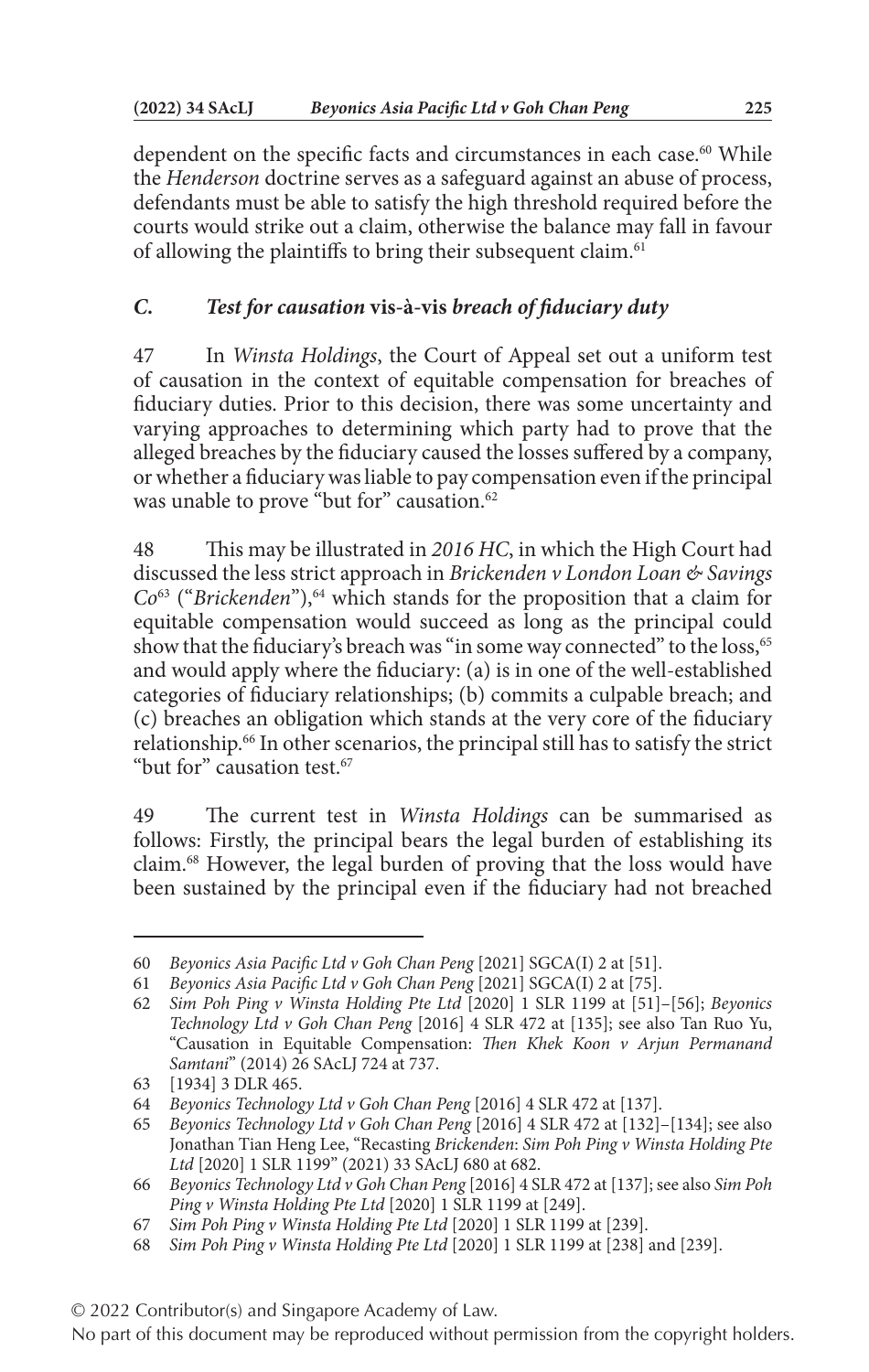dependent on the specific facts and circumstances in each case.<sup>60</sup> While the *Henderson* doctrine serves as a safeguard against an abuse of process, defendants must be able to satisfy the high threshold required before the courts would strike out a claim, otherwise the balance may fall in favour of allowing the plaintiffs to bring their subsequent claim.<sup>61</sup>

# *C. Test for causation* **vis-à-vis** *breach of fiduciary duty*

47 In *Winsta Holdings*, the Court of Appeal set out a uniform test of causation in the context of equitable compensation for breaches of fiduciary duties. Prior to this decision, there was some uncertainty and varying approaches to determining which party had to prove that the alleged breaches by the fiduciary caused the losses suffered by a company, or whether a fiduciary was liable to pay compensation even if the principal was unable to prove "but for" causation.<sup>62</sup>

48 This may be illustrated in *2016 HC*, in which the High Court had discussed the less strict approach in *Brickenden v London Loan & Savings Co*<sup>63</sup> ("*Brickenden*"),<sup>64</sup> which stands for the proposition that a claim for equitable compensation would succeed as long as the principal could show that the fiduciary's breach was "in some way connected" to the loss,<sup>65</sup> and would apply where the fiduciary: (a) is in one of the well-established categories of fiduciary relationships; (b) commits a culpable breach; and (c) breaches an obligation which stands at the very core of the fiduciary relationship.66 In other scenarios, the principal still has to satisfy the strict "but for" causation test.<sup>67</sup>

49 The current test in *Winsta Holdings* can be summarised as follows: Firstly, the principal bears the legal burden of establishing its claim.68 However, the legal burden of proving that the loss would have been sustained by the principal even if the fiduciary had not breached

<sup>60</sup> *Beyonics Asia Pacific Ltd v Goh Chan Peng* [2021] SGCA(I) 2 at [51].

<sup>61</sup> *Beyonics Asia Pacific Ltd v Goh Chan Peng* [2021] SGCA(I) 2 at [75].

<sup>62</sup> *Sim Poh Ping v Winsta Holding Pte Ltd* [2020] 1 SLR 1199 at [51]–[56]; *Beyonics Technology Ltd v Goh Chan Peng* [2016] 4 SLR 472 at [135]; see also Tan Ruo Yu, "Causation in Equitable Compensation: *Then Khek Koon v Arjun Permanand Samtani*" (2014) 26 SAcLJ 724 at 737.

<sup>63</sup> [1934] 3 DLR 465.

<sup>64</sup> *Beyonics Technology Ltd v Goh Chan Peng* [2016] 4 SLR 472 at [137].

<sup>65</sup> *Beyonics Technology Ltd v Goh Chan Peng* [2016] 4 SLR 472 at [132]–[134]; see also Jonathan Tian Heng Lee, "Recasting *Brickenden*: *Sim Poh Ping v Winsta Holding Pte Ltd* [2020] 1 SLR 1199" (2021) 33 SAcLJ 680 at 682.

<sup>66</sup> *Beyonics Technology Ltd v Goh Chan Peng* [2016] 4 SLR 472 at [137]; see also *Sim Poh Ping v Winsta Holding Pte Ltd* [2020] 1 SLR 1199 at [249].

<sup>67</sup> *Sim Poh Ping v Winsta Holding Pte Ltd* [2020] 1 SLR 1199 at [239].

<sup>68</sup> *Sim Poh Ping v Winsta Holding Pte Ltd* [2020] 1 SLR 1199 at [238] and [239].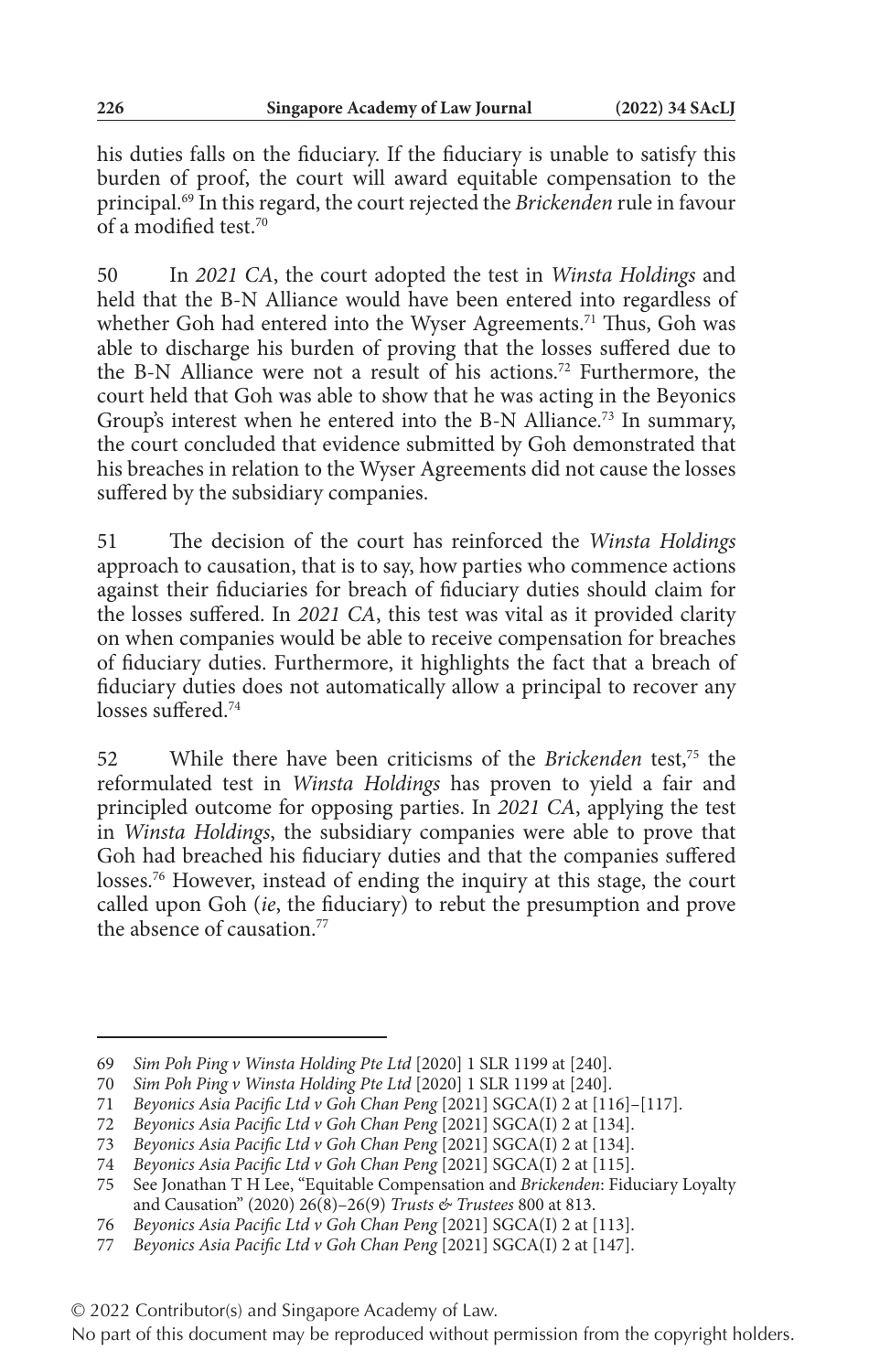his duties falls on the fiduciary. If the fiduciary is unable to satisfy this burden of proof, the court will award equitable compensation to the principal.69 In this regard, the court rejected the *Brickenden* rule in favour of a modified test.70

50 In *2021 CA*, the court adopted the test in *Winsta Holdings* and held that the B-N Alliance would have been entered into regardless of whether Goh had entered into the Wyser Agreements.<sup>71</sup> Thus, Goh was able to discharge his burden of proving that the losses suffered due to the B-N Alliance were not a result of his actions.72 Furthermore, the court held that Goh was able to show that he was acting in the Beyonics Group's interest when he entered into the B-N Alliance.<sup>73</sup> In summary, the court concluded that evidence submitted by Goh demonstrated that his breaches in relation to the Wyser Agreements did not cause the losses suffered by the subsidiary companies.

51 The decision of the court has reinforced the *Winsta Holdings* approach to causation, that is to say, how parties who commence actions against their fiduciaries for breach of fiduciary duties should claim for the losses suffered. In *2021 CA*, this test was vital as it provided clarity on when companies would be able to receive compensation for breaches of fiduciary duties. Furthermore, it highlights the fact that a breach of fiduciary duties does not automatically allow a principal to recover any losses suffered.<sup>74</sup>

52 While there have been criticisms of the *Brickenden* test,<sup>75</sup> the reformulated test in *Winsta Holdings* has proven to yield a fair and principled outcome for opposing parties. In *2021 CA*, applying the test in *Winsta Holdings*, the subsidiary companies were able to prove that Goh had breached his fiduciary duties and that the companies suffered losses.<sup>76</sup> However, instead of ending the inquiry at this stage, the court called upon Goh (*ie*, the fiduciary) to rebut the presumption and prove the absence of causation  $77$ 

<sup>69</sup> *Sim Poh Ping v Winsta Holding Pte Ltd* [2020] 1 SLR 1199 at [240].

<sup>70</sup> *Sim Poh Ping v Winsta Holding Pte Ltd* [2020] 1 SLR 1199 at [240].

<sup>71</sup> *Beyonics Asia Pacific Ltd v Goh Chan Peng* [2021] SGCA(I) 2 at [116]–[117].

<sup>72</sup> *Beyonics Asia Pacific Ltd v Goh Chan Peng* [2021] SGCA(I) 2 at [134].

<sup>73</sup> *Beyonics Asia Pacific Ltd v Goh Chan Peng* [2021] SGCA(I) 2 at [134].

<sup>74</sup> *Beyonics Asia Pacific Ltd v Goh Chan Peng* [2021] SGCA(I) 2 at [115].

<sup>75</sup> See Jonathan T H Lee, "Equitable Compensation and *Brickenden*: Fiduciary Loyalty and Causation" (2020) 26(8)–26(9) *Trusts & Trustees* 800 at 813.

<sup>76</sup> *Beyonics Asia Pacific Ltd v Goh Chan Peng* [2021] SGCA(I) 2 at [113].

<sup>77</sup> *Beyonics Asia Pacific Ltd v Goh Chan Peng* [2021] SGCA(I) 2 at [147].

<sup>© 2022</sup> Contributor(s) and Singapore Academy of Law.

No part of this document may be reproduced without permission from the copyright holders.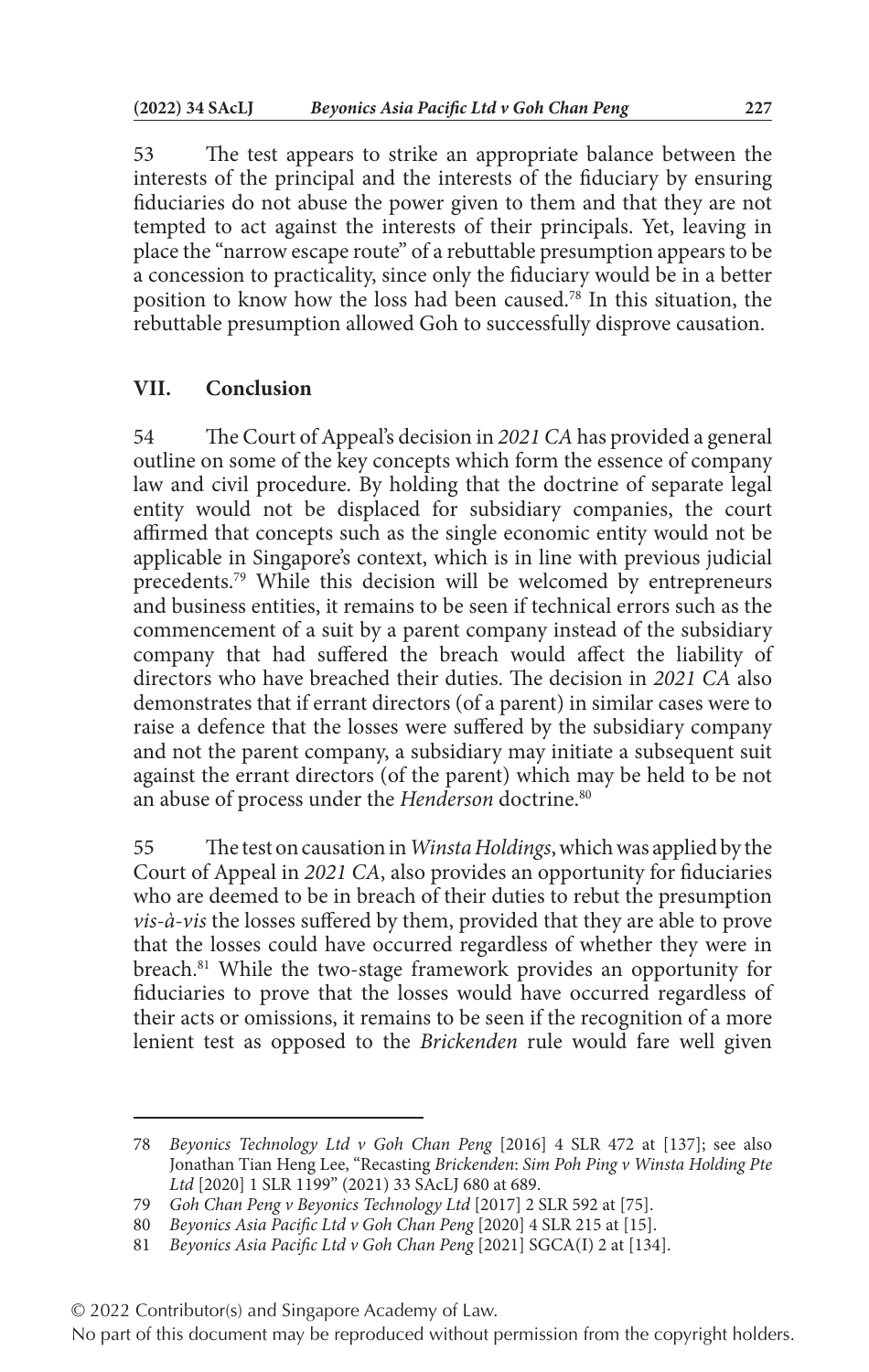53 The test appears to strike an appropriate balance between the interests of the principal and the interests of the fiduciary by ensuring fiduciaries do not abuse the power given to them and that they are not tempted to act against the interests of their principals. Yet, leaving in place the "narrow escape route" of a rebuttable presumption appears to be a concession to practicality, since only the fiduciary would be in a better position to know how the loss had been caused.<sup>78</sup> In this situation, the rebuttable presumption allowed Goh to successfully disprove causation.

#### **VII. Conclusion**

54 The Court of Appeal's decision in *2021 CA* has provided a general outline on some of the key concepts which form the essence of company law and civil procedure. By holding that the doctrine of separate legal entity would not be displaced for subsidiary companies, the court affirmed that concepts such as the single economic entity would not be applicable in Singapore's context, which is in line with previous judicial precedents.79 While this decision will be welcomed by entrepreneurs and business entities, it remains to be seen if technical errors such as the commencement of a suit by a parent company instead of the subsidiary company that had suffered the breach would affect the liability of directors who have breached their duties. The decision in *2021 CA* also demonstrates that if errant directors (of a parent) in similar cases were to raise a defence that the losses were suffered by the subsidiary company and not the parent company, a subsidiary may initiate a subsequent suit against the errant directors (of the parent) which may be held to be not an abuse of process under the *Henderson* doctrine.<sup>80</sup>

55 The test on causation in *Winsta Holdings*, which was applied by the Court of Appeal in *2021 CA*, also provides an opportunity for fiduciaries who are deemed to be in breach of their duties to rebut the presumption *vis-à-vis* the losses suffered by them, provided that they are able to prove that the losses could have occurred regardless of whether they were in breach.<sup>81</sup> While the two-stage framework provides an opportunity for fiduciaries to prove that the losses would have occurred regardless of their acts or omissions, it remains to be seen if the recognition of a more lenient test as opposed to the *Brickenden* rule would fare well given

<sup>78</sup> *Beyonics Technology Ltd v Goh Chan Peng* [2016] 4 SLR 472 at [137]; see also Jonathan Tian Heng Lee, "Recasting *Brickenden*: *Sim Poh Ping v Winsta Holding Pte Ltd* [2020] 1 SLR 1199" (2021) 33 SAcLJ 680 at 689.

<sup>79</sup> *Goh Chan Peng v Beyonics Technology Ltd* [2017] 2 SLR 592 at [75].

<sup>80</sup> *Beyonics Asia Pacific Ltd v Goh Chan Peng* [2020] 4 SLR 215 at [15].

<sup>81</sup> *Beyonics Asia Pacific Ltd v Goh Chan Peng* [2021] SGCA(I) 2 at [134].

<sup>© 2022</sup> Contributor(s) and Singapore Academy of Law.

No part of this document may be reproduced without permission from the copyright holders.